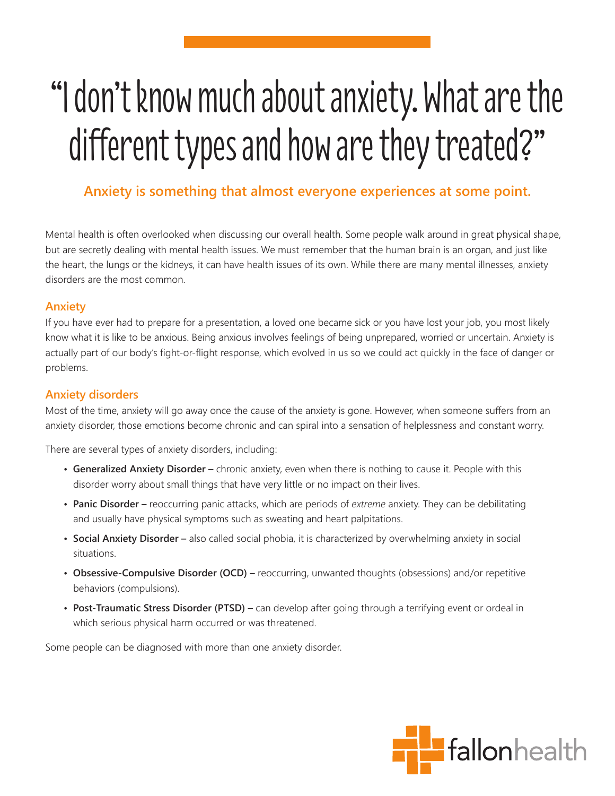# "I don't know much about anxiety. What are the different types and how are they treated?"

# **Anxiety is something that almost everyone experiences at some point.**

Mental health is often overlooked when discussing our overall health. Some people walk around in great physical shape, but are secretly dealing with mental health issues. We must remember that the human brain is an organ, and just like the heart, the lungs or the kidneys, it can have health issues of its own. While there are many mental illnesses, anxiety disorders are the most common.

#### **Anxiety**

If you have ever had to prepare for a presentation, a loved one became sick or you have lost your job, you most likely know what it is like to be anxious. Being anxious involves feelings of being unprepared, worried or uncertain. Anxiety is actually part of our body's fight-or-flight response, which evolved in us so we could act quickly in the face of danger or problems.

#### **Anxiety disorders**

Most of the time, anxiety will go away once the cause of the anxiety is gone. However, when someone suffers from an anxiety disorder, those emotions become chronic and can spiral into a sensation of helplessness and constant worry.

There are several types of anxiety disorders, including:

- **Generalized Anxiety Disorder** chronic anxiety, even when there is nothing to cause it. People with this disorder worry about small things that have very little or no impact on their lives.
- **Panic Disorder** reoccurring panic attacks, which are periods of *extreme* anxiety. They can be debilitating and usually have physical symptoms such as sweating and heart palpitations.
- **Social Anxiety Disorder** also called social phobia, it is characterized by overwhelming anxiety in social situations.
- **Obsessive-Compulsive Disorder (OCD)** reoccurring, unwanted thoughts (obsessions) and/or repetitive behaviors (compulsions).
- **Post-Traumatic Stress Disorder (PTSD)** can develop after going through a terrifying event or ordeal in which serious physical harm occurred or was threatened.

Some people can be diagnosed with more than one anxiety disorder.